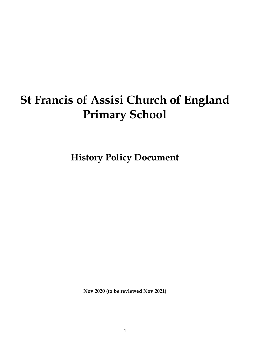# **St Francis of Assisi Church of England Primary School**

**History Policy Document**

**Nov 2020 (to be reviewed Nov 2021)**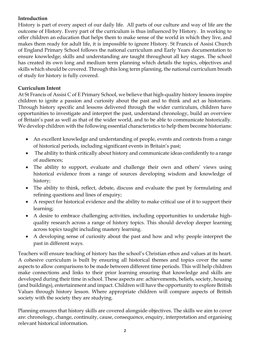## **Introduction**

History is part of every aspect of our daily life. All parts of our culture and way of life are the outcome of History. Every part of the curriculum is thus influenced by History. In working to offer children an education that helps them to make sense of the world in which they live, and makes them ready for adult life, it is impossible to ignore History. St Francis of Assisi Church of England Primary School follows the national curriculum and Early Years documentation to ensure knowledge; skills and understanding are taught throughout all key stages. The school has created its own long and medium term planning which details the topics, objectives and skills which should be covered. Through this long term planning, the national curriculum breath of study for history is fully covered.

## **Curriculum Intent**

At St Francis of Assisi C of E Primary School, we believe that high-quality history lessons inspire children to ignite a passion and curiosity about the past and to think and act as historians. Through history specific and lessons delivered through the wider curriculum, children have opportunities to investigate and interpret the past, understand chronology, build an overview of Britain's past as well as that of the wider world, and to be able to communicate historically. We develop children with the following essential characteristics to help them become historians:

- An excellent knowledge and understanding of people, events and contexts from a range of historical periods, including significant events in Britain's past;
- The ability to think critically about history and communicate ideas confidently to a range of audiences;
- The ability to support, evaluate and challenge their own and others' views using historical evidence from a range of sources developing wisdom and knowledge of history;
- The ability to think, reflect, debate, discuss and evaluate the past by formulating and refining questions and lines of enquiry;
- A respect for historical evidence and the ability to make critical use of it to support their learning;
- A desire to embrace challenging activities, including opportunities to undertake highquality research across a range of history topics. This should develop deeper learning across topics taught including mastery learning.
- A developing sense of curiosity about the past and how and why people interpret the past in different ways.

Teachers will ensure teaching of history has the school's Christian ethos and values at its heart. A cohesive curriculum is built by ensuring all historical themes and topics cover the same aspects to allow comparisons to be made between different time periods. This will help children make connections and links to their prior learning ensuring that knowledge and skills are developed during their time in school. These aspects are: achievements, beliefs, society, housing (and buildings), entertainment and impact. Children will have the opportunity to explore British Values through history lesson. Where appropriate children will compare aspects of British society with the society they are studying.

Planning ensures that history skills are covered alongside objectives. The skills we aim to cover are: chronology, change, continuity, cause, consequence, enquiry, interpretation and organising relevant historical information.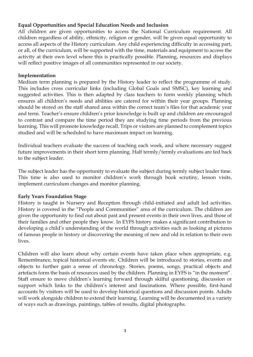## **Equal Opportunities and Special Education Needs and Inclusion**

All children are given opportunities to access the National Curriculum requirement. All children regardless of ability, ethnicity, religion or gender, will be given equal opportunity to access all aspects of the History curriculum. Any child experiencing difficulty in accessing part, or all, of the curriculum, will be supported with the time, materials and equipment to access the activity at their own level where this is practically possible. Planning, resources and displays will reflect positive images of all communities represented in our society.

#### **Implementation**

Medium term planning is prepared by the History leader to reflect the programme of study. This includes cross curricular links (including Global Goals and SMSC), key learning and suggested activities. This is then adapted by class teachers to form weekly planning which ensures all children's needs and abilities are catered for within their year groups. Planning should be stored on the staff shared area within the correct team's files for that academic year and term. Teacher's ensure children's prior knowledge is built up and children are encouraged to contrast and compare the time period they are studying time periods from the previous learning. This will promote knowledge recall. Trips or visitors are planned to complement topics studied and will be scheduled to have maximum impact on learning.

Individual teachers evaluate the success of teaching each week, and where necessary suggest future improvements in their short term planning. Half termly/termly evaluations are fed back to the subject leader.

The subject leader has the opportunity to evaluate the subject during termly subject leader time. This time is also used to monitor children's work through book scrutiny, lesson visits, implement curriculum changes and monitor planning.

#### **Early Years Foundation Stage**

History is taught in Nursery and Reception through child-initiated and adult led activities. History is covered in the "People and Communities" area of the curriculum. The children are given the opportunity to find out about past and present events in their own lives, and those of their families and other people they know. In EYFS history makes a significant contribution to developing a child's understanding of the world through activities such as looking at pictures of famous people in history or discovering the meaning of new and old in relation to their own lives.

Children will also learn about why certain events have taken place when appropriate, e.g. Remembrance, topical historical events etc. Children will be introduced to stories, events and objects to further gain a sense of chronology. Stories, poems, songs, practical objects and artefacts form the basis of resources used by the children. Planning in EYFS is "in the moment". Staff ensure to move children's learning forward through skilful questioning, discussion or support which links to the children's interest and fascinations. Where possible, first-hand accounts by visitors will be used to develop historical questions and discussion points. Adults will work alongside children to extend their learning. Learning will be documented in a variety of ways such as drawings, paintings, tables of results, digital photographs.